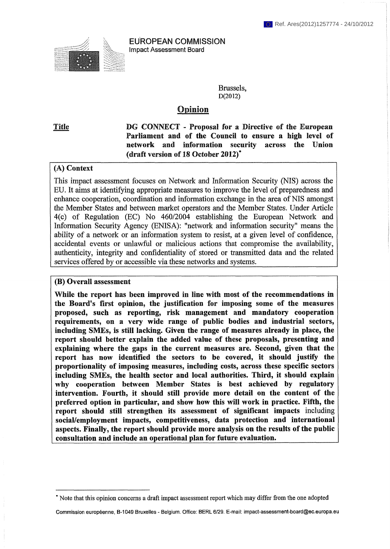

**EUROPEAN COMMISSION Impact Assessment Board** 

> Brussels, **D(2012)**

# **Opinion**

**Title DG CONNECT - Proposal for** a Directive **of the European**  Parliament and of the Council to ensure a high level of **network and information security across the Union (draft version of 18 October 2012)\*** 

#### **(A) Context**

This impact assessment focuses on Network and Information Security (NIS) across the EU. It aims at identifying appropriate measures to improve the level of preparedness and enhance cooperation, coordination and information exchange in the area of NIS amongst the Member States and between market operators and the Member States. Under Article 4(c) of Regulation (EC) No 460/2004 establishing the European Network and Information Security Agency (ENISA): "network and information security" means the ability of a network or an information system to resist, at a given level of confidence, accidental events or unlawful or malicious actions that compromise the availability, authenticity, integrity and confidentiality of stored or transmitted data and the related services offered by or accessible via these networks and systems.

#### **(B) Overall assessment**

While **the report has been improved in line** with most **of the recommendations in the Board's first opinion, the justification for imposing some of the measures proposed, such as reporting, risk management and mandatory cooperation requirements, on a very wide range of public bodies and industrial sectors, including SMEs, is** still **lacking. Given the range of measures already in place, the report should better explain the added value of these proposals, presenting and explaining where the gaps in the current measures are. Second, given that the report has now identified the sectors to be covered, it should justify the proportionality of imposing measures, including costs, across these specific sectors including SMEs, the health sector and local authorities. Third, it should explain why cooperation between Member States is best achieved by regulatory intervention. Fourth, it should still provide more detail on the content of the preferred option in particular, and show how this will work in practice. Fifth, the report should still strengthen its assessment of significant impacts** including **social/employment impacts, competitiveness, data protection and international aspects. Finally, the report should provide more analysis on the results of the public consultation and include an operational plan for future evaluation.** 

**<sup>\*</sup> Note that this opinion concerns a draft impact assessment report which may differ from the one adopted** 

**Commission européenne, B-1049 Bruxelles - Belgium. Office: BERL 6/29. E-mail: ¡mpact-assessment-board@ec.europa.eu**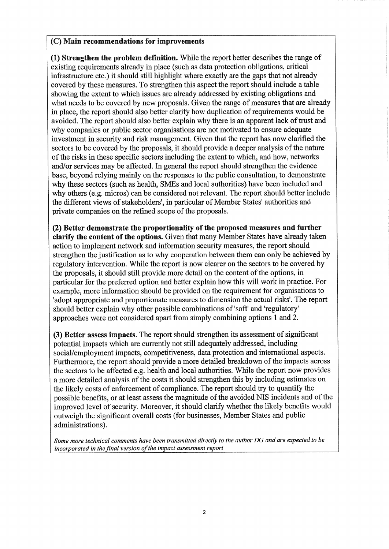#### **(C) Main recommendations for improvements**

**(1) Strengthen the problem** definition. While the report better describes the range of existing requirements already in place (such as data protection obligations, critical infrastructure etc.) it should still highlight where exactly are the gaps that not already covered by these measures. To strengthen this aspect the report should include a table showing the extent to which issues are already addressed by existing obligations and what needs to be covered by new proposals. Given the range of measures that are already in place, the report should also better clarify how duplication of requirements would be avoided. The report should also better explain why there is an apparent lack of trust and why companies or public sector organisations are not motivated to ensure adequate investment in security and risk management. Given that the report has now clarified the sectors to be covered by the proposals, it should provide a deeper analysis of the nature of the risks in these specific sectors including the extent to which, and how, networks and/or services may be affected. In general the report should strengthen the evidence base, beyond relying mainly on the responses to the public consultation, to demonstrate why these sectors (such as health, SMEs and local authorities) have been included and why others (e.g. micros) can be considered not relevant. The report should better include the different views of stakeholders', in particular of Member States' authorities and private companies on the refined scope of the proposals.

**(2) Better demonstrate the proportionality of the proposed measures and further clarify the content of the options.** Given that many Member States have already taken action to implement network and information security measures, the report should strengthen the justification as to why cooperation between them can only be achieved by regulatory intervention. While the report is now clearer on the sectors to be covered by the proposals, it should still provide more detail on the content of the options, in particular for the preferred option and better explain how this will work in practice. For example, more information should be provided on the requirement for organisations to 'adopt appropriate and proportionate measures to dimension the actual risks'. The report should better explain why other possible combinations of'soft' and 'regulatory' approaches were not considered apart from simply combining options 1 and 2.

**(3) Better assess impacts.** The report should strengthen its assessment of significant potential impacts which are currently not still adequately addressed, including social/employment impacts, competitiveness, data protection and international aspects. Furthermore, the report should provide a more detailed breakdown of the impacts across the sectors to be affected e.g. health and local authorities. While the report now provides a more detailed analysis of the costs it should strengthen this by including estimates on the likely costs of enforcement of compliance. The report should try to quantify the possible benefits, or at least assess the magnitude of the avoided NIS incidents and of the improved level of security. Moreover, it should clarify whether the likely benefits would outweigh the significant overall costs (for businesses, Member States and public administrations).

*Some more technical comments have been transmitted directly to the author DG and are expected to be incorporated in the final version of the impact assessment report*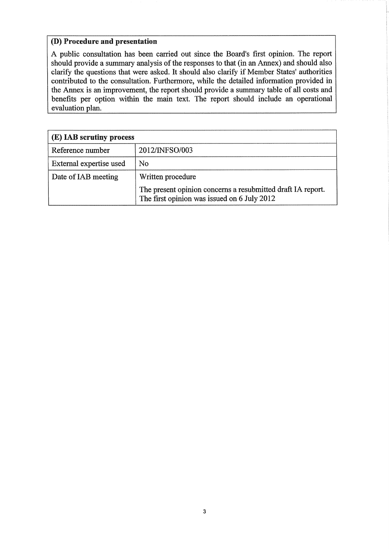# **(D) Procedure and presentation**

A public consultation has been carried out since the Board's first opinion. The report should provide a summary analysis of the responses to that (in an Annex) and should also clarify the questions that were asked. It should also clarify if Member States' authorities contributed to the consultation. Furthermore, while the detailed information provided in the Annex is an improvement, the report should provide a summary table of all costs and benefits per option within the main text. The report should include an operational evaluation plan.

| (E) IAB scrutiny process |                                                                                                            |
|--------------------------|------------------------------------------------------------------------------------------------------------|
| Reference number         | 2012/INFSO/003                                                                                             |
| External expertise used  | No                                                                                                         |
| Date of IAB meeting      | Written procedure                                                                                          |
|                          | The present opinion concerns a resubmitted draft IA report.<br>The first opinion was issued on 6 July 2012 |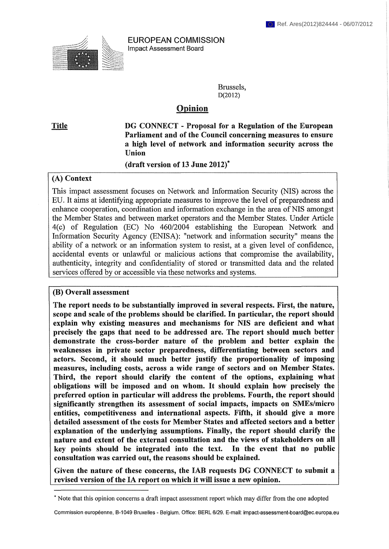

EUROPEAN COMMISSION Impact Assessment Board

> Brussels, D(2012)

## Opinion

Title DG CONNECT - Proposal for a Regulation of the European Parliament and of the Council concerning measures to ensure a high level of network and information security across the Union

(draft version of 13 June 2012)\*

### (A) Context

This impact assessment focuses on Network and Information Security (NIS) across the EU. It aims at identifying appropriate measures to improve the level of preparedness and enhance cooperation, coordination and information exchange in the area of NIS amongst the Member States and between market operators and the Member States. Under Article 4(c) of Regulation (EC) No 460/2004 establishing the European Network and Information Security Agency (ENISA): "network and information security" means the ability of a network or an information system to resist, at a given level of confidence, accidental events or unlawful or malicious actions that compromise the availability, authenticity, integrity and confidentiality of stored or transmitted data and the related services offered by or accessible via these networks and systems.

#### (B) Overall assessment

The report needs to be substantially improved in several respects. First, the nature, scope and scale of the problems should be clarified. In particular, the report should explain why existing measures and mechanisms for NIS are deficient and what precisely the gaps that need to be addressed are. The report should much better demonstrate the cross-border nature of the problem and better explain the weaknesses in private sector preparedness, differentiating between sectors and actors. Second, it should much better justify the proportionality of imposing measures, including costs, across a wide range of sectors and on Member States. Third, the report should clarify the content of the options, explaining what obligations will be imposed and on whom. It should explain how precisely the preferred option in particular will address the problems. Fourth, the report should significantly strengthen its assessment of social impacts, impacts on SMEs/micro entities, competitiveness and international aspects. Fifth, it should give a more detailed assessment of the costs for Member States and affected sectors and a better explanation of the underlying assumptions. Finally, the report should clarify the nature and extent of the external consultation and the views of stakeholders on all key points should be integrated into the text. In the event that no public consultation was carried out, the reasons should be explained.

Given the nature of these concerns, the IAB requests DG CONNECT to submit a revised version of the IA report on which it will issue a new opinion.

Commission européenne, B-1049 Bruxelles - Belgium. Office: BERL 6/29. E-mail: [¡mpact-assessment-board@ec.europa.eu](mailto:mpact-assessment-board@ec.europa.eu)

<sup>\*</sup> Note that this opinion concerns a draft impact assessment report which may differ from the one adopted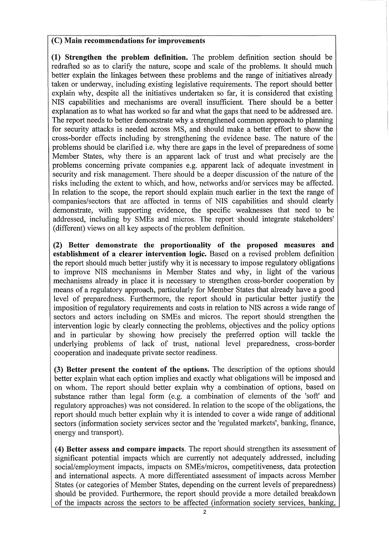### (С) Main recommendations for improvements

(1) Strengthen the problem definition. The problem definition section should be redrafted so as to clarify the nature, scope and scale of the problems. It should much better explain the linkages between these problems and the range of initiatives already taken or underway, including existing legislative requirements. The report should better explain why, despite all the initiatives undertaken so far, it is considered that existing NIS capabilities and mechanisms are overall insufficient. There should be a better explanation as to what has worked so far and what the gaps that need to be addressed are. The report needs to better demonstrate why a strengthened common approach to planning for security attacks is needed across MS, and should make a better effort to show the cross-border effects including by strengthening the evidence base. The nature of the problems should be clarified i.e. why there are gaps in the level of preparedness of some Member States, why there is an apparent lack of trust and what precisely are the problems concerning private companies e.g. apparent lack of adequate investment in security and risk management. There should be a deeper discussion of the nature of the risks including the extent to which, and how, networks and/or services may be affected. In relation to the scope, the report should explain much earlier in the text the range of companies/sectors that are affected in terms of NIS capabilities and should clearly demonstrate, with supporting evidence, the specific weaknesses that need to be addressed, including by SMEs and micros. The report should integrate stakeholders' (different) views on all key aspects of the problem definition.

(2) Better demonstrate the proportionality of the proposed measures and establishment of a clearer intervention logic. Based on a revised problem definition the report should much better justify why it is necessary to impose regulatory obligations to improve NIS mechanisms in Member States and why, in light of the various mechanisms already in place it is necessary to strengthen cross-border cooperation by means of a regulatory approach, particularly for Member States that already have a good level of preparedness. Furthermore, the report should in particular better justify the imposition of regulatory requirements and costs in relation to NIS across a wide range of sectors and actors including on SMEs and micros. The report should strengthen the intervention logic by clearly connecting the problems, objectives and the policy options and in particular by showing how precisely the preferred option will tackle the underlying problems of lack of trust, national level preparedness, cross-border cooperation and inadequate private sector readiness.

(3) Better present the content of the options. The description of the options should better explain what each option implies and exactly what obligations will be imposed and on whom. The report should better explain why a combination of options, based on substance rather than legal form (e.g. a combination of elements of the 'soft' and regulatory approaches) was not considered. In relation to the scope of the obligations, the report should much better explain why it is intended to cover a wide range of additional sectors (information society services sector and the 'regulated markets', banking, finance, energy and transport).

(4) Better assess and compare impacts. The report should strengthen its assessment of significant potential impacts which are currently not adequately addressed, including social/employment impacts, impacts on SMEs/micros, competitiveness, data protection and international aspects. A more differentiated assessment of impacts across Member States (or categories of Member States, depending on the current levels of preparedness) should be provided. Furthermore, the report should provide a more detailed breakdown of the impacts across the sectors to be affected (information society services, banking,